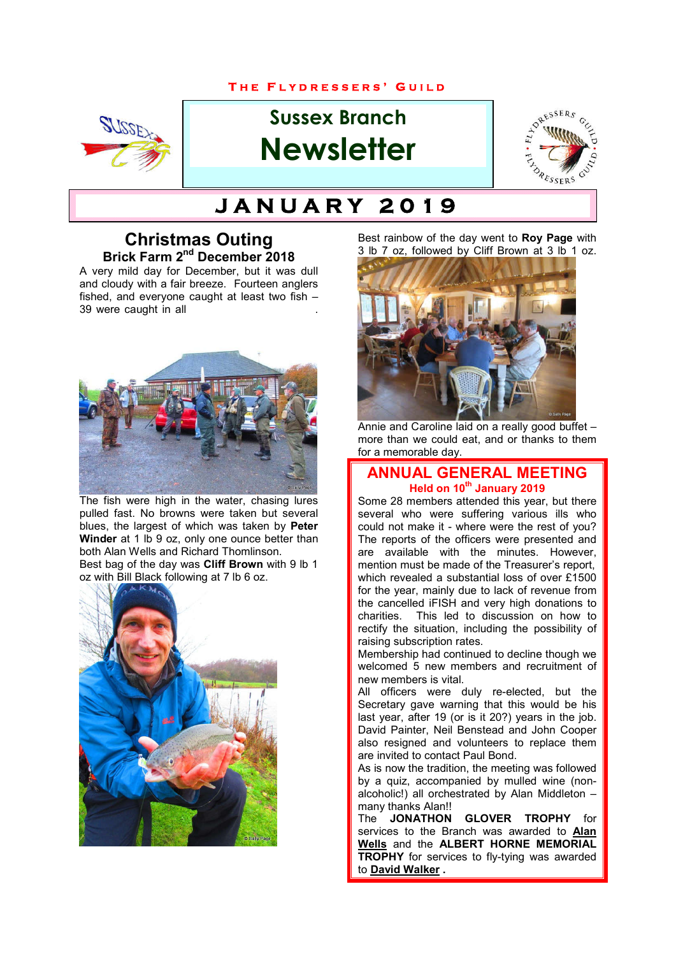#### **T H E F L Y D R E S S E R S ' G U I L D**



# **Sussex Branch Newsletter**



# **T H E F L Y D R E S S E R S ' G U I L D J A N U A R Y 2 0 1 9**

#### **Christmas Outing Brick Farm 2nd December 2018**

A very mild day for December, but it was dull and cloudy with a fair breeze. Fourteen anglers fished, and everyone caught at least two fish – 39 were caught in all



The fish were high in the water, chasing lures pulled fast. No browns were taken but several blues, the largest of which was taken by **Peter Winder** at 1 lb 9 oz, only one ounce better than both Alan Wells and Richard Thomlinson. Best bag of the day was **Cliff Brown** with 9 lb 1 oz with Bill Black following at 7 lb 6 oz.



Best rainbow of the day went to **Roy Page** with 3 lb 7 oz, followed by Cliff Brown at 3 lb 1 oz.



Annie and Caroline laid on a really good buffet – more than we could eat, and or thanks to them for a memorable day.

#### **ANNUAL GENERAL MEETING Held on 10<sup>th</sup> January 2019**

Some 28 members attended this year, but there several who were suffering various ills who could not make it - where were the rest of you? The reports of the officers were presented and are available with the minutes. However, mention must be made of the Treasurer's report, which revealed a substantial loss of over £1500 for the year, mainly due to lack of revenue from the cancelled iFISH and very high donations to charities. This led to discussion on how to rectify the situation, including the possibility of raising subscription rates.

Membership had continued to decline though we welcomed 5 new members and recruitment of new members is vital.

All officers were duly re-elected, but the Secretary gave warning that this would be his last year, after 19 (or is it 20?) years in the job. David Painter, Neil Benstead and John Cooper also resigned and volunteers to replace them are invited to contact Paul Bond.

As is now the tradition, the meeting was followed by a quiz, accompanied by mulled wine (nonalcoholic!) all orchestrated by Alan Middleton – many thanks Alan!!<br>The **JONATHON** 

**GLOVER TROPHY** for services to the Branch was awarded to **Alan Wells** and the **ALBERT HORNE MEMORIAL TROPHY** for services to fly-tying was awarded to **David Walker .**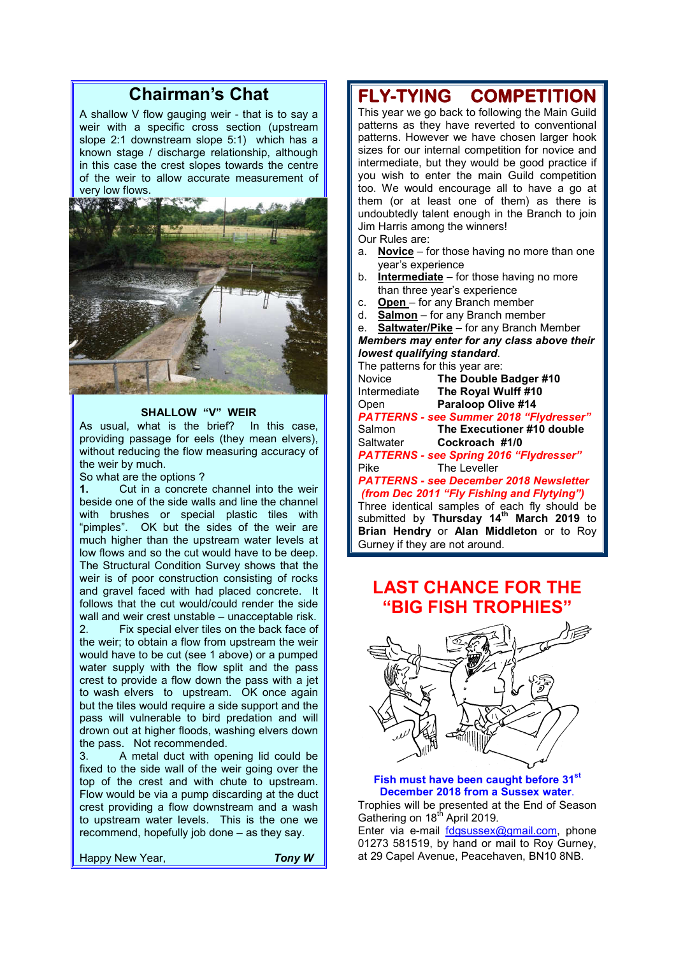# **Chairman's Chat**

A shallow V flow gauging weir - that is to say a weir with a specific cross section (upstream slope 2:1 downstream slope 5:1) which has a known stage / discharge relationship, although in this case the crest slopes towards the centre of the weir to allow accurate measurement of very low flows.



#### **SHALLOW "V" WEIR**

As usual, what is the brief? In this case, providing passage for eels (they mean elvers), without reducing the flow measuring accuracy of the weir by much.

So what are the options?<br>1. Cut in a concrete

**1.** Cut in a concrete channel into the weir beside one of the side walls and line the channel with brushes or special plastic tiles with "pimples". OK but the sides of the weir are much higher than the upstream water levels at low flows and so the cut would have to be deep. The Structural Condition Survey shows that the weir is of poor construction consisting of rocks and gravel faced with had placed concrete. It follows that the cut would/could render the side wall and weir crest unstable – unacceptable risk.

2. Fix special elver tiles on the back face of the weir; to obtain a flow from upstream the weir would have to be cut (see 1 above) or a pumped water supply with the flow split and the pass crest to provide a flow down the pass with a jet to wash elvers to upstream. OK once again but the tiles would require a side support and the pass will vulnerable to bird predation and will drown out at higher floods, washing elvers down the pass. Not recommended.

3. A metal duct with opening lid could be fixed to the side wall of the weir going over the top of the crest and with chute to upstream. Flow would be via a pump discarding at the duct crest providing a flow downstream and a wash to upstream water levels. This is the one we recommend, hopefully job done – as they say.

Happy New Year, *Tony W*

# **FLY-TYING COMPETITION**

This year we go back to following the Main Guild patterns as they have reverted to conventional patterns. However we have chosen larger hook sizes for our internal competition for novice and intermediate, but they would be good practice if you wish to enter the main Guild competition too. We would encourage all to have a go at them (or at least one of them) as there is undoubtedly talent enough in the Branch to join Jim Harris among the winners!

Our Rules are:

- a. **Novice** for those having no more than one year's experience
- b. **Intermediate** for those having no more than three year's experience
- c. **Open** for any Branch member
- d. **Salmon** for any Branch member

e. **Saltwater/Pike** – for any Branch Member *Members may enter for any class above their lowest qualifying standard*.

The patterns for this year are: Novice **The Double Badger #10**<br>Intermediate **The Royal Wulff #10 The Royal Wulff #10** Open **Paraloop Olive #14** *PATTERNS - see Summer 2018 "Flydresser"* **The Executioner #10 double** Saltwater **Cockroach #1/0** *PATTERNS - see Spring 2016 "Flydresser"* The Leveller *PATTERNS - see December 2018 Newsletter (from Dec 2011 "Fly Fishing and Flytying")*

Three identical samples of each fly should be submitted by **Thursday 14th March 2019** to **Brian Hendry** or **Alan Middleton** or to Roy Gurney if they are not around.

## **LAST CHANCE FOR THE "BIG FISH TROPHIES"**



#### **Fish must have been caught before 31st December 2018 from a Sussex water**.

Trophies will be presented at the End of Season Gathering on 18<sup>th</sup> April 2019.

Enter via e-mail fdgsussex@gmail.com, phone 01273 581519, by hand or mail to Roy Gurney, at 29 Capel Avenue, Peacehaven, BN10 8NB.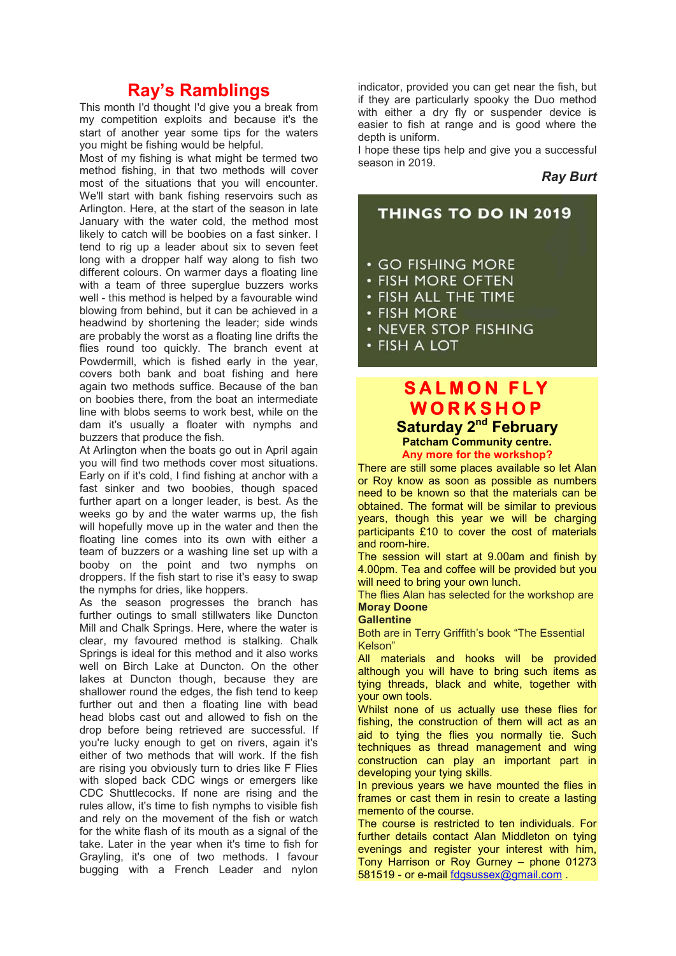### **Ray's Ramblings**

This month I'd thought I'd give you a break from my competition exploits and because it's the start of another year some tips for the waters you might be fishing would be helpful.

Most of my fishing is what might be termed two method fishing, in that two methods will cover most of the situations that you will encounter. We'll start with bank fishing reservoirs such as Arlington. Here, at the start of the season in late January with the water cold, the method most likely to catch will be boobies on a fast sinker. I tend to rig up a leader about six to seven feet long with a dropper half way along to fish two different colours. On warmer days a floating line with a team of three superglue buzzers works well - this method is helped by a favourable wind blowing from behind, but it can be achieved in a headwind by shortening the leader; side winds are probably the worst as a floating line drifts the flies round too quickly. The branch event at Powdermill, which is fished early in the year, covers both bank and boat fishing and here again two methods suffice. Because of the ban on boobies there, from the boat an intermediate line with blobs seems to work best, while on the dam it's usually a floater with nymphs and buzzers that produce the fish.

At Arlington when the boats go out in April again you will find two methods cover most situations. Early on if it's cold, I find fishing at anchor with a fast sinker and two boobies, though spaced further apart on a longer leader, is best. As the weeks go by and the water warms up, the fish will hopefully move up in the water and then the floating line comes into its own with either a team of buzzers or a washing line set up with a booby on the point and two nymphs on droppers. If the fish start to rise it's easy to swap the nymphs for dries, like hoppers.

As the season progresses the branch has further outings to small stillwaters like Duncton Mill and Chalk Springs. Here, where the water is clear, my favoured method is stalking. Chalk Springs is ideal for this method and it also works well on Birch Lake at Duncton. On the other lakes at Duncton though, because they are shallower round the edges, the fish tend to keep further out and then a floating line with bead head blobs cast out and allowed to fish on the drop before being retrieved are successful. If you're lucky enough to get on rivers, again it's either of two methods that will work. If the fish are rising you obviously turn to dries like F Flies with sloped back CDC wings or emergers like CDC Shuttlecocks. If none are rising and the rules allow, it's time to fish nymphs to visible fish and rely on the movement of the fish or watch for the white flash of its mouth as a signal of the take. Later in the year when it's time to fish for Grayling, it's one of two methods. I favour bugging with a French Leader and nylon

indicator, provided you can get near the fish, but if they are particularly spooky the Duo method with either a dry fly or suspender device is easier to fish at range and is good where the depth is uniform.

I hope these tips help and give you a successful season in 2019.

#### *Ray Burt*



- FISH MORE
- NEVER STOP FISHING
- · FISH A LOT

### **S A L M O N F L Y W O R K S H O P Saturday 2nd February Patcham Community centre.**

**Any more for the workshop?**

There are still some places available so let Alan or Roy know as soon as possible as numbers need to be known so that the materials can be obtained. The format will be similar to previous years, though this year we will be charging participants £10 to cover the cost of materials and room-hire.

The session will start at 9.00am and finish by 4.00pm. Tea and coffee will be provided but you will need to bring your own lunch.

The flies Alan has selected for the workshop are **Moray Doone** 

#### **Gallentine**

Both are in Terry Griffith's book "The Essential Kelson"

All materials and hooks will be provided although you will have to bring such items as tying threads, black and white, together with your own tools.

Whilst none of us actually use these flies for fishing, the construction of them will act as an aid to tying the flies you normally tie. Such techniques as thread management and wing construction can play an important part in developing your tying skills.

In previous years we have mounted the flies in frames or cast them in resin to create a lasting memento of the course.

The course is restricted to ten individuals. For further details contact Alan Middleton on tying evenings and register your interest with him, Tony Harrison or Roy Gurney – phone 01273 581519 - or e-mail fdgsussex@gmail.com .